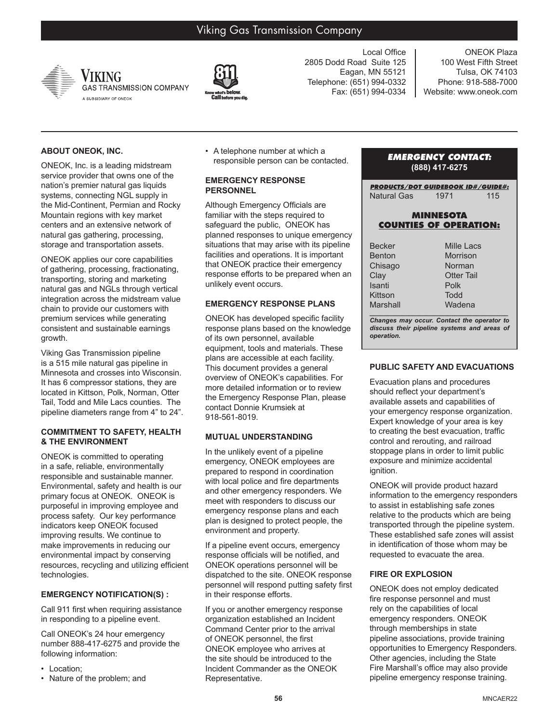# Viking Gas Transmission Company





Local Office 2805 Dodd Road Suite 125 Eagan, MN 55121 Telephone: (651) 994-0332 Fax: (651) 994-0334

ONEOK Plaza 100 West Fifth Street Tulsa, OK 74103 Phone: 918-588-7000 Website: www.oneok.com

# **ABOUT ONEOK, INC.**

ONEOK, Inc. is a leading midstream service provider that owns one of the nation's premier natural gas liquids systems, connecting NGL supply in the Mid-Continent, Permian and Rocky Mountain regions with key market centers and an extensive network of natural gas gathering, processing, storage and transportation assets.

ONEOK applies our core capabilities of gathering, processing, fractionating, transporting, storing and marketing natural gas and NGLs through vertical integration across the midstream value chain to provide our customers with premium services while generating consistent and sustainable earnings growth.

Viking Gas Transmission pipeline is a 515 mile natural gas pipeline in Minnesota and crosses into Wisconsin. It has 6 compressor stations, they are located in Kittson, Polk, Norman, Otter Tail, Todd and Mile Lacs counties. The pipeline diameters range from 4" to 24".

## **COMMITMENT TO SAFETY, HEALTH & THE ENVIRONMENT**

ONEOK is committed to operating in a safe, reliable, environmentally responsible and sustainable manner. Environmental, safety and health is our primary focus at ONEOK. ONEOK is purposeful in improving employee and process safety. Our key performance indicators keep ONEOK focused improving results. We continue to make improvements in reducing our environmental impact by conserving resources, recycling and utilizing efficient technologies.

# **EMERGENCY NOTIFICATION(S) :**

Call 911 first when requiring assistance in responding to a pipeline event.

Call ONEOK's 24 hour emergency number 888-417-6275 and provide the following information:

- Location;
- Nature of the problem; and

• A telephone number at which a responsible person can be contacted.

#### **EMERGENCY RESPONSE PERSONNEL**

Although Emergency Officials are familiar with the steps required to safeguard the public, ONEOK has planned responses to unique emergency situations that may arise with its pipeline facilities and operations. It is important that ONEOK practice their emergency response efforts to be prepared when an unlikely event occurs.

# **EMERGENCY RESPONSE PLANS**

ONEOK has developed specific facility response plans based on the knowledge of its own personnel, available equipment, tools and materials. These plans are accessible at each facility. This document provides a general overview of ONEOK's capabilities. For more detailed information or to review the Emergency Response Plan, please contact Donnie Krumsiek at 918-561-8019.

## **MUTUAL UNDERSTANDING**

In the unlikely event of a pipeline emergency, ONEOK employees are prepared to respond in coordination with local police and fire departments and other emergency responders. We meet with responders to discuss our emergency response plans and each plan is designed to protect people, the environment and property.

If a pipeline event occurs, emergency response officials will be notified, and ONEOK operations personnel will be dispatched to the site. ONEOK response personnel will respond putting safety first in their response efforts.

If you or another emergency response organization established an Incident Command Center prior to the arrival of ONEOK personnel, the first ONEOK employee who arrives at the site should be introduced to the Incident Commander as the ONEOK Representative.

#### *EMERGENCY CONTACT:* **(888) 417-6275**

*PRODUCTS/DOT GUIDEBOOK ID#/GUIDE#:* Natural Gas 1971 115

## **MINNESOTA COUNTIES OF OPERATION:**

| <b>Becker</b> |  |
|---------------|--|
| <b>Benton</b> |  |
| Chisago       |  |
| Clay          |  |
| Isanti        |  |
| Kittson       |  |
| Marshall      |  |

Mille Lacs Morrison Norman Otter Tail Polk Todd **Wadena** 

*\_\_\_\_\_\_\_\_\_\_\_\_\_\_\_\_\_\_\_\_\_\_\_\_\_\_\_\_\_\_\_\_\_\_\_\_\_\_\_ Changes may occur. Contact the operator to discuss their pipeline systems and areas of operation.*

## **PUBLIC SAFETY AND EVACUATIONS**

Evacuation plans and procedures should reflect your department's available assets and capabilities of your emergency response organization. Expert knowledge of your area is key to creating the best evacuation, traffic control and rerouting, and railroad stoppage plans in order to limit public exposure and minimize accidental ignition.

ONEOK will provide product hazard information to the emergency responders to assist in establishing safe zones relative to the products which are being transported through the pipeline system. These established safe zones will assist in identification of those whom may be requested to evacuate the area.

## **FIRE OR EXPLOSION**

ONEOK does not employ dedicated fire response personnel and must rely on the capabilities of local emergency responders. ONEOK through memberships in state pipeline associations, provide training opportunities to Emergency Responders. Other agencies, including the State Fire Marshall's office may also provide pipeline emergency response training.